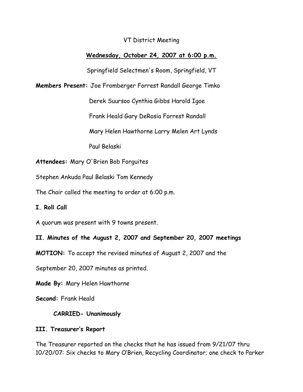VT District Meeting

# **Wednesday, October 24, 2007 at 6:00 p.m.**

Springfield Selectmen's Room, Springfield, VT

**Members Present:** Joe Fromberger Forrest Randall George Timko

Derek Suursoo Cynthia Gibbs Harold Igoe

Frank Heald Gary DeRosia Forrest Randall

Mary Helen Hawthorne Larry Melen Art Lynds

Paul Belaski

**Attendees:** Mary O'Brien Bob Forguites

Stephen Ankuda Paul Belaski Tom Kennedy

The Chair called the meeting to order at 6:00 p.m.

## **I. Roll Call**

A quorum was present with 9 towns present.

**II. Minutes of the August 2, 2007 and September 20, 2007 meetings**

**MOTION:** To accept the revised minutes of August 2, 2007 and the

September 20, 2007 minutes as printed.

**Made By:** Mary Helen Hawthorne

**Second:** Frank Heald

## **CARRIED- Unanimously**

## **III. Treasurer's Report**

The Treasurer reported on the checks that he has issued from 9/21/07 thru 10/20/07: Six checks to Mary O'Brien, Recycling Coordinator; one check to Parker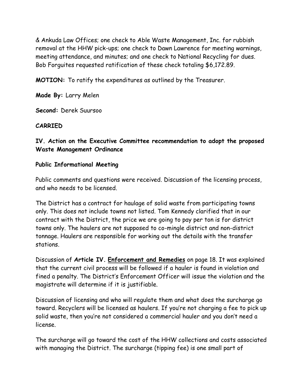& Ankuda Law Offices; one check to Able Waste Management, Inc. for rubbish removal at the HHW pick-ups; one check to Dawn Lawrence for meeting warnings, meeting attendance, and minutes; and one check to National Recycling for dues. Bob Forguites requested ratification of these check totaling \$6,172.89.

**MOTION:** To ratify the expenditures as outlined by the Treasurer.

**Made By:** Larry Melen

**Second:** Derek Suursoo

### **CARRIED**

# **IV. Action on the Executive Committee recommendation to adopt the proposed Waste Management Ordinance**

### **Public Informational Meeting**

Public comments and questions were received. Discussion of the licensing process, and who needs to be licensed.

The District has a contract for haulage of solid waste from participating towns only. This does not include towns not listed. Tom Kennedy clarified that in our contract with the District, the price we are going to pay per ton is for district towns only. The haulers are not supposed to co-mingle district and non-district tonnage. Haulers are responsible for working out the details with the transfer stations.

Discussion of **Article IV. Enforcement and Remedies** on page 18. It was explained that the current civil process will be followed if a hauler is found in violation and fined a penalty. The District's Enforcement Officer will issue the violation and the magistrate will determine if it is justifiable.

Discussion of licensing and who will regulate them and what does the surcharge go toward. Recyclers will be licensed as haulers. If you're not charging a fee to pick up solid waste, then you're not considered a commercial hauler and you don't need a license.

The surcharge will go toward the cost of the HHW collections and costs associated with managing the District. The surcharge (tipping fee) is one small part of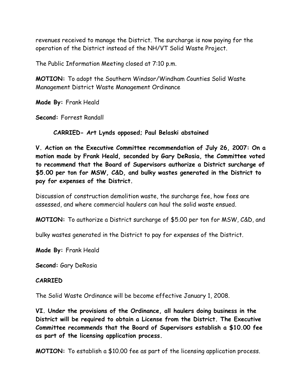revenues received to manage the District. The surcharge is now paying for the operation of the District instead of the NH/VT Solid Waste Project.

The Public Information Meeting closed at 7:10 p.m.

**MOTION:** To adopt the Southern Windsor/Windham Counties Solid Waste Management District Waste Management Ordinance

**Made By:** Frank Heald

**Second:** Forrest Randall

**CARRIED- Art Lynds opposed; Paul Belaski abstained**

**V. Action on the Executive Committee recommendation of July 26, 2007: On a motion made by Frank Heald, seconded by Gary DeRosia, the Committee voted to recommend that the Board of Supervisors authorize a District surcharge of \$5.00 per ton for MSW, C&D, and bulky wastes generated in the District to pay for expenses of the District.**

Discussion of construction demolition waste, the surcharge fee, how fees are assessed, and where commercial haulers can haul the solid waste ensued.

**MOTION:** To authorize a District surcharge of \$5.00 per ton for MSW, C&D, and

bulky wastes generated in the District to pay for expenses of the District.

**Made By:** Frank Heald

**Second:** Gary DeRosia

### **CARRIED**

The Solid Waste Ordinance will be become effective January 1, 2008.

**VI. Under the provisions of the Ordinance, all haulers doing business in the District will be required to obtain a License from the District. The Executive Committee recommends that the Board of Supervisors establish a \$10.00 fee as part of the licensing application process.**

**MOTION:** To establish a \$10.00 fee as part of the licensing application process.